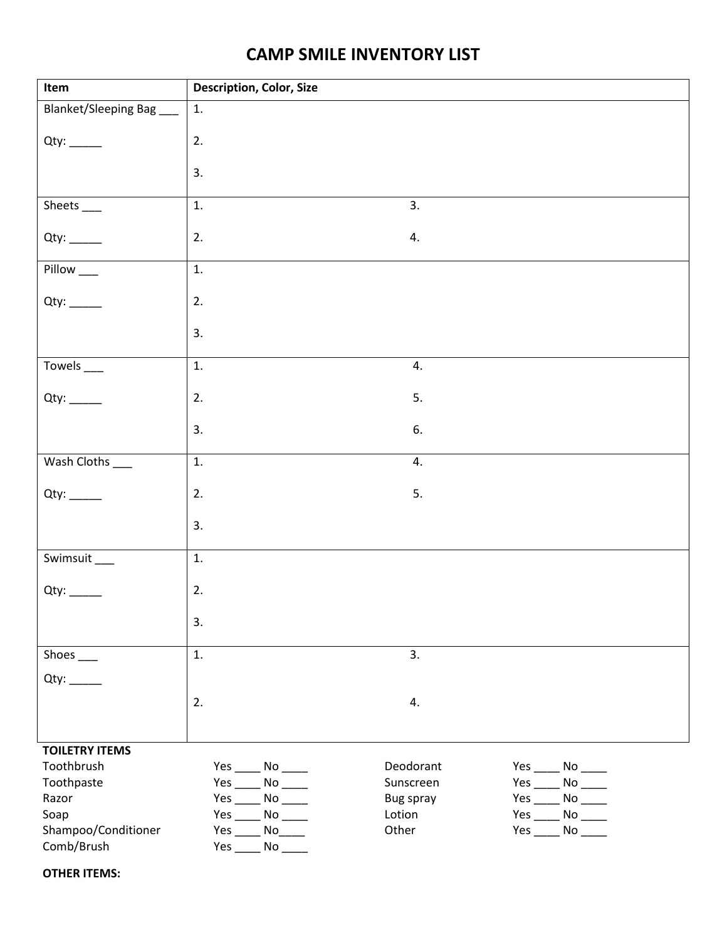## **CAMP SMILE INVENTORY LIST**

| Item                            | Description, Color, Size |           |                                                    |
|---------------------------------|--------------------------|-----------|----------------------------------------------------|
| Blanket/Sleeping Bag            | 1.                       |           |                                                    |
|                                 |                          |           |                                                    |
|                                 | 2.                       |           |                                                    |
|                                 | 3.                       |           |                                                    |
|                                 |                          |           |                                                    |
| Sheets ____                     | 1.                       | 3.        |                                                    |
|                                 | 2.                       | 4.        |                                                    |
|                                 |                          |           |                                                    |
| Pillow <sub>__</sub>            | 1.                       |           |                                                    |
|                                 |                          |           |                                                    |
|                                 | 2.                       |           |                                                    |
|                                 | 3.                       |           |                                                    |
|                                 |                          |           |                                                    |
| Towels $\overline{\phantom{a}}$ | 1.                       | 4.        |                                                    |
|                                 | 2.                       | 5.        |                                                    |
|                                 |                          |           |                                                    |
|                                 | 3.                       | 6.        |                                                    |
|                                 |                          |           |                                                    |
| Wash Cloths ___                 | 1.                       | 4.        |                                                    |
|                                 | 2.                       | 5.        |                                                    |
|                                 |                          |           |                                                    |
|                                 | 3.                       |           |                                                    |
|                                 |                          |           |                                                    |
| Swimsuit_                       | 1.                       |           |                                                    |
|                                 | 2.                       |           |                                                    |
|                                 |                          |           |                                                    |
|                                 | 3.                       |           |                                                    |
| Shoes ____                      | 1.                       | 3.        |                                                    |
|                                 |                          |           |                                                    |
|                                 |                          |           |                                                    |
|                                 | 2.                       | 4.        |                                                    |
|                                 |                          |           |                                                    |
| <b>TOILETRY ITEMS</b>           |                          |           |                                                    |
| Toothbrush                      | $Yes$ No _______         | Deodorant | $Yes$ No _______                                   |
| Toothpaste                      |                          | Sunscreen | $Yes$ No _______                                   |
| Razor                           | $Yes$ No _______         | Bug spray | $Yes$ No _______                                   |
| Soap                            | $Yes$ No ______          | Lotion    | Yes $\rule{1em}{0.15mm}$ No $\rule{1.5mm}{0.15mm}$ |
| Shampoo/Conditioner             | $Yes$ No                 | Other     | $Yes$ No _______                                   |
| Comb/Brush                      | No<br>Yes $\_\_$         |           |                                                    |

**OTHER ITEMS:**